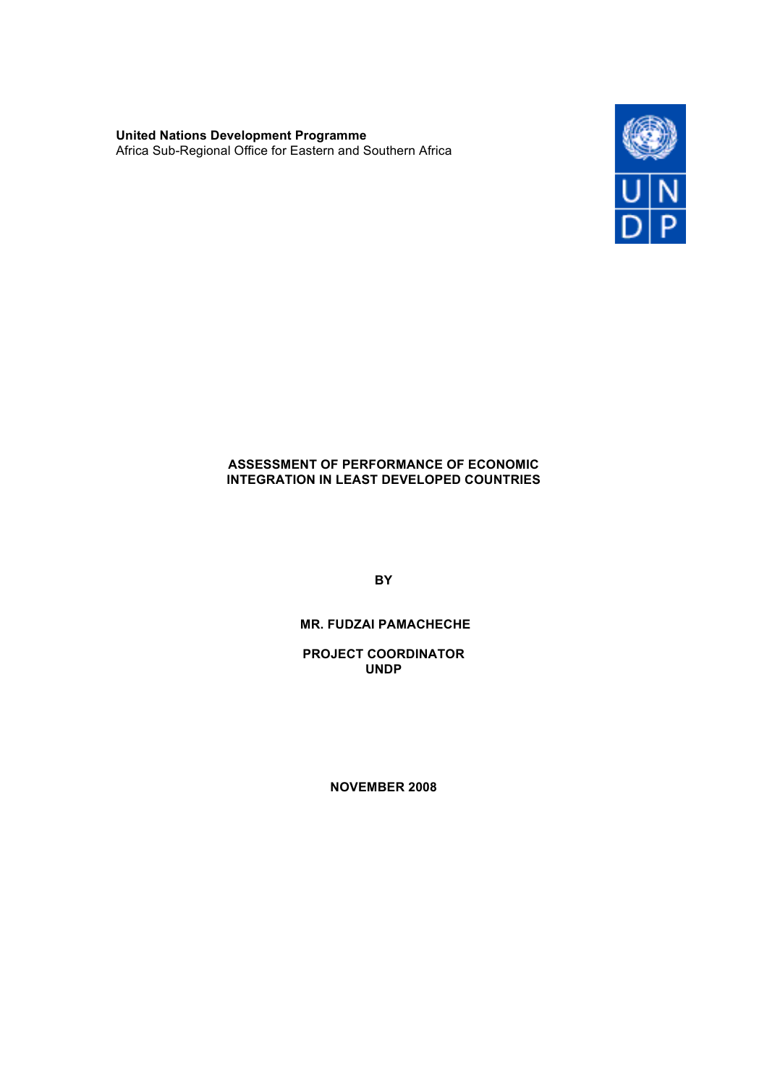**United Nations Development Programme** Africa Sub-Regional Office for Eastern and Southern Africa



## **ASSESSMENT OF PERFORMANCE OF ECONOMIC INTEGRATION IN LEAST DEVELOPED COUNTRIES**

**BY**

# **MR. FUDZAI PAMACHECHE**

**PROJECT COORDINATOR UNDP** 

**NOVEMBER 2008**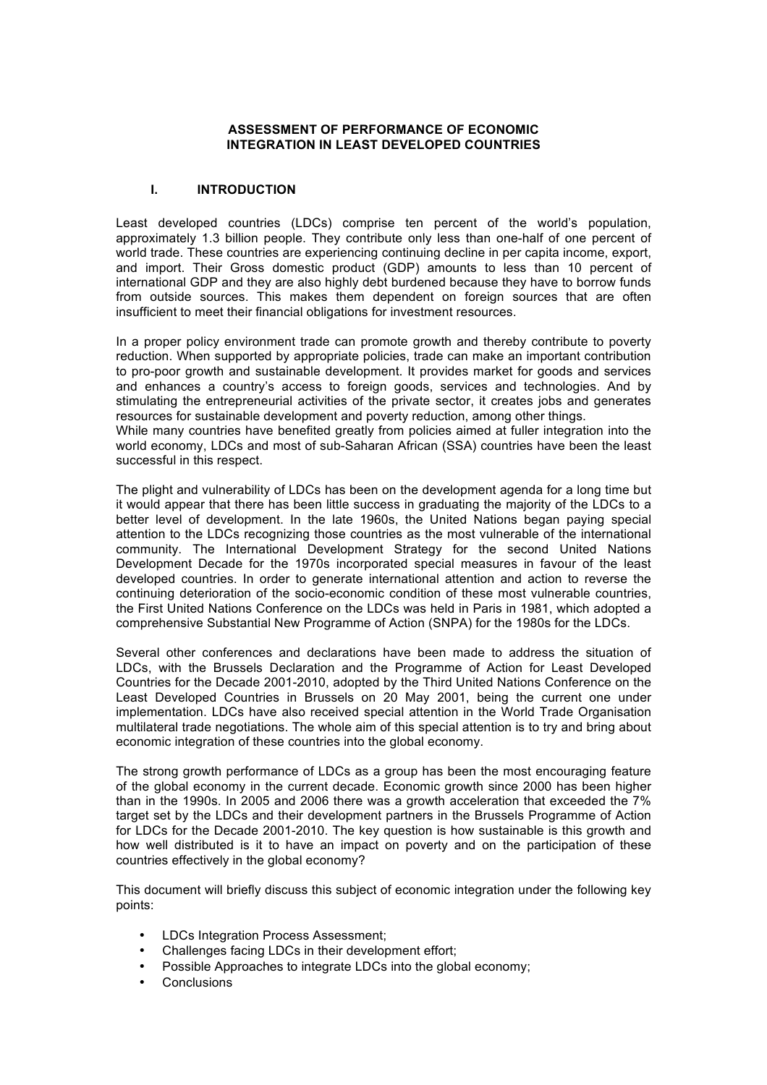#### **ASSESSMENT OF PERFORMANCE OF ECONOMIC INTEGRATION IN LEAST DEVELOPED COUNTRIES**

### **I. INTRODUCTION**

Least developed countries (LDCs) comprise ten percent of the world's population, approximately 1.3 billion people. They contribute only less than one-half of one percent of world trade. These countries are experiencing continuing decline in per capita income, export, and import. Their Gross domestic product (GDP) amounts to less than 10 percent of international GDP and they are also highly debt burdened because they have to borrow funds from outside sources. This makes them dependent on foreign sources that are often insufficient to meet their financial obligations for investment resources.

In a proper policy environment trade can promote growth and thereby contribute to poverty reduction. When supported by appropriate policies, trade can make an important contribution to pro-poor growth and sustainable development. It provides market for goods and services and enhances a country's access to foreign goods, services and technologies. And by stimulating the entrepreneurial activities of the private sector, it creates jobs and generates resources for sustainable development and poverty reduction, among other things.

While many countries have benefited greatly from policies aimed at fuller integration into the world economy, LDCs and most of sub-Saharan African (SSA) countries have been the least successful in this respect.

The plight and vulnerability of LDCs has been on the development agenda for a long time but it would appear that there has been little success in graduating the majority of the LDCs to a better level of development. In the late 1960s, the United Nations began paying special attention to the LDCs recognizing those countries as the most vulnerable of the international community. The International Development Strategy for the second United Nations Development Decade for the 1970s incorporated special measures in favour of the least developed countries. In order to generate international attention and action to reverse the continuing deterioration of the socio-economic condition of these most vulnerable countries, the First United Nations Conference on the LDCs was held in Paris in 1981, which adopted a comprehensive Substantial New Programme of Action (SNPA) for the 1980s for the LDCs.

Several other conferences and declarations have been made to address the situation of LDCs, with the Brussels Declaration and the Programme of Action for Least Developed Countries for the Decade 2001-2010, adopted by the Third United Nations Conference on the Least Developed Countries in Brussels on 20 May 2001, being the current one under implementation. LDCs have also received special attention in the World Trade Organisation multilateral trade negotiations. The whole aim of this special attention is to try and bring about economic integration of these countries into the global economy.

The strong growth performance of LDCs as a group has been the most encouraging feature of the global economy in the current decade. Economic growth since 2000 has been higher than in the 1990s. In 2005 and 2006 there was a growth acceleration that exceeded the 7% target set by the LDCs and their development partners in the Brussels Programme of Action for LDCs for the Decade 2001-2010. The key question is how sustainable is this growth and how well distributed is it to have an impact on poverty and on the participation of these countries effectively in the global economy?

This document will briefly discuss this subject of economic integration under the following key points:

- LDCs Integration Process Assessment;
- Challenges facing LDCs in their development effort;
- Possible Approaches to integrate LDCs into the global economy;
- Conclusions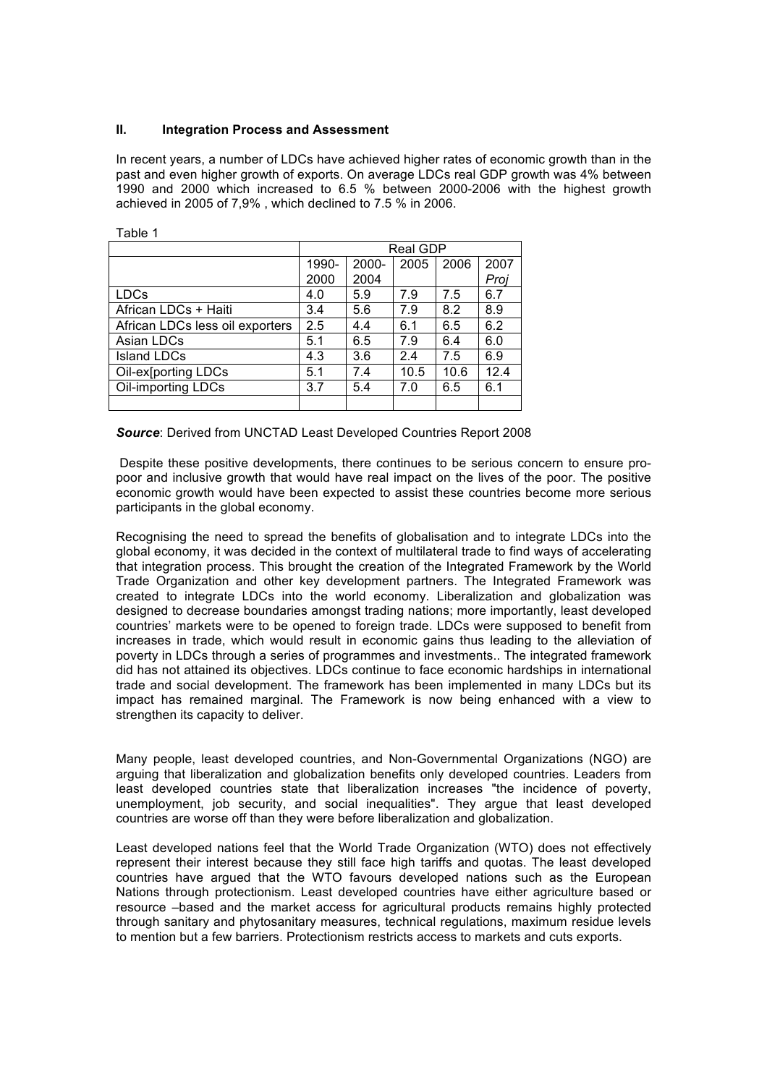#### **II. Integration Process and Assessment**

In recent years, a number of LDCs have achieved higher rates of economic growth than in the past and even higher growth of exports. On average LDCs real GDP growth was 4% between 1990 and 2000 which increased to 6.5 % between 2000-2006 with the highest growth achieved in 2005 of 7,9% , which declined to 7.5 % in 2006.

|                                 | Real GDP |       |      |      |      |  |
|---------------------------------|----------|-------|------|------|------|--|
|                                 | 1990-    | 2000- | 2005 | 2006 | 2007 |  |
|                                 | 2000     | 2004  |      |      | Proj |  |
| <b>LDCs</b>                     | 4.0      | 5.9   | 7.9  | 7.5  | 6.7  |  |
| African LDCs + Haiti            | 3.4      | 5.6   | 7.9  | 8.2  | 8.9  |  |
| African LDCs less oil exporters | 2.5      | 4.4   | 6.1  | 6.5  | 6.2  |  |
| Asian LDCs                      | 5.1      | 6.5   | 7.9  | 6.4  | 6.0  |  |
| <b>Island LDCs</b>              | 4.3      | 3.6   | 2.4  | 7.5  | 6.9  |  |
| Oil-ex[porting LDCs             | 5.1      | 7.4   | 10.5 | 10.6 | 12.4 |  |
| Oil-importing LDCs              | 3.7      | 5.4   | 7.0  | 6.5  | 6.1  |  |
|                                 |          |       |      |      |      |  |

Table 1

#### *Source*: Derived from UNCTAD Least Developed Countries Report 2008

Despite these positive developments, there continues to be serious concern to ensure propoor and inclusive growth that would have real impact on the lives of the poor. The positive economic growth would have been expected to assist these countries become more serious participants in the global economy.

Recognising the need to spread the benefits of globalisation and to integrate LDCs into the global economy, it was decided in the context of multilateral trade to find ways of accelerating that integration process. This brought the creation of the Integrated Framework by the World Trade Organization and other key development partners. The Integrated Framework was created to integrate LDCs into the world economy. Liberalization and globalization was designed to decrease boundaries amongst trading nations; more importantly, least developed countries' markets were to be opened to foreign trade. LDCs were supposed to benefit from increases in trade, which would result in economic gains thus leading to the alleviation of poverty in LDCs through a series of programmes and investments.. The integrated framework did has not attained its objectives. LDCs continue to face economic hardships in international trade and social development. The framework has been implemented in many LDCs but its impact has remained marginal. The Framework is now being enhanced with a view to strengthen its capacity to deliver.

Many people, least developed countries, and Non-Governmental Organizations (NGO) are arguing that liberalization and globalization benefits only developed countries. Leaders from least developed countries state that liberalization increases "the incidence of poverty, unemployment, job security, and social inequalities". They argue that least developed countries are worse off than they were before liberalization and globalization.

Least developed nations feel that the World Trade Organization (WTO) does not effectively represent their interest because they still face high tariffs and quotas. The least developed countries have argued that the WTO favours developed nations such as the European Nations through protectionism. Least developed countries have either agriculture based or resource –based and the market access for agricultural products remains highly protected through sanitary and phytosanitary measures, technical regulations, maximum residue levels to mention but a few barriers. Protectionism restricts access to markets and cuts exports.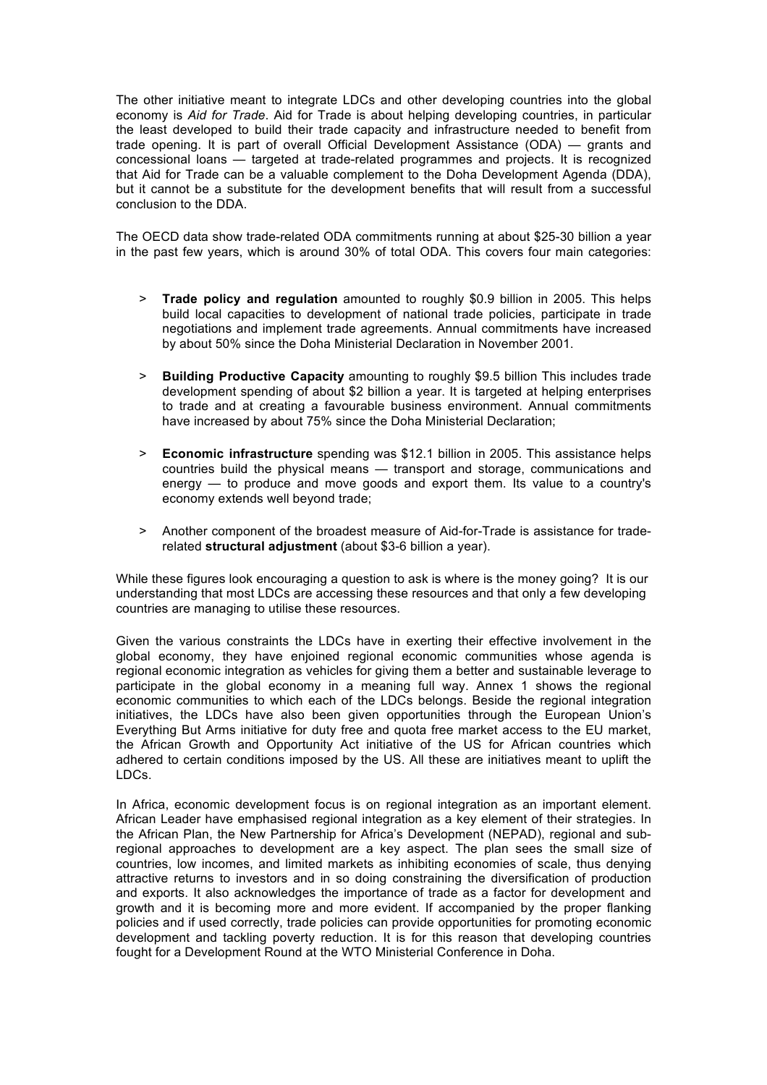The other initiative meant to integrate LDCs and other developing countries into the global economy is *Aid for Trade*. Aid for Trade is about helping developing countries, in particular the least developed to build their trade capacity and infrastructure needed to benefit from trade opening. It is part of overall Official Development Assistance (ODA) — grants and concessional loans — targeted at trade-related programmes and projects. It is recognized that Aid for Trade can be a valuable complement to the Doha Development Agenda (DDA), but it cannot be a substitute for the development benefits that will result from a successful conclusion to the DDA.

The OECD data show trade-related ODA commitments running at about \$25-30 billion a year in the past few years, which is around 30% of total ODA. This covers four main categories:

- > **Trade policy and regulation** amounted to roughly \$0.9 billion in 2005. This helps build local capacities to development of national trade policies, participate in trade negotiations and implement trade agreements. Annual commitments have increased by about 50% since the Doha Ministerial Declaration in November 2001.
- > **Building Productive Capacity** amounting to roughly \$9.5 billion This includes trade development spending of about \$2 billion a year. It is targeted at helping enterprises to trade and at creating a favourable business environment. Annual commitments have increased by about 75% since the Doha Ministerial Declaration;
- > **Economic infrastructure** spending was \$12.1 billion in 2005. This assistance helps countries build the physical means — transport and storage, communications and energy — to produce and move goods and export them. Its value to a country's economy extends well beyond trade;
- > Another component of the broadest measure of Aid-for-Trade is assistance for traderelated **structural adjustment** (about \$3-6 billion a year).

While these figures look encouraging a question to ask is where is the money going? It is our understanding that most LDCs are accessing these resources and that only a few developing countries are managing to utilise these resources.

Given the various constraints the LDCs have in exerting their effective involvement in the global economy, they have enjoined regional economic communities whose agenda is regional economic integration as vehicles for giving them a better and sustainable leverage to participate in the global economy in a meaning full way. Annex 1 shows the regional economic communities to which each of the LDCs belongs. Beside the regional integration initiatives, the LDCs have also been given opportunities through the European Union's Everything But Arms initiative for duty free and quota free market access to the EU market, the African Growth and Opportunity Act initiative of the US for African countries which adhered to certain conditions imposed by the US. All these are initiatives meant to uplift the LDCs.

In Africa, economic development focus is on regional integration as an important element. African Leader have emphasised regional integration as a key element of their strategies. In the African Plan, the New Partnership for Africa's Development (NEPAD), regional and subregional approaches to development are a key aspect. The plan sees the small size of countries, low incomes, and limited markets as inhibiting economies of scale, thus denying attractive returns to investors and in so doing constraining the diversification of production and exports. It also acknowledges the importance of trade as a factor for development and growth and it is becoming more and more evident. If accompanied by the proper flanking policies and if used correctly, trade policies can provide opportunities for promoting economic development and tackling poverty reduction. It is for this reason that developing countries fought for a Development Round at the WTO Ministerial Conference in Doha.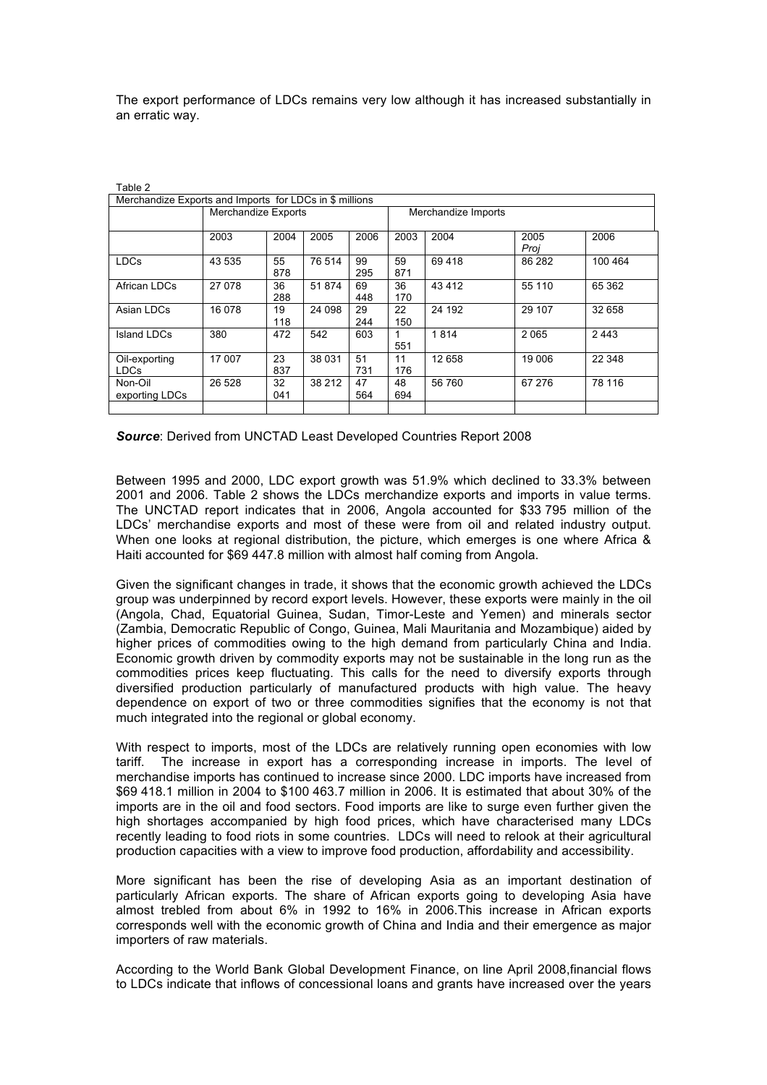The export performance of LDCs remains very low although it has increased substantially in an erratic way.

| Table 2                                                 |                            |      |        |                     |      |        |        |         |
|---------------------------------------------------------|----------------------------|------|--------|---------------------|------|--------|--------|---------|
| Merchandize Exports and Imports for LDCs in \$ millions |                            |      |        |                     |      |        |        |         |
|                                                         | <b>Merchandize Exports</b> |      |        | Merchandize Imports |      |        |        |         |
|                                                         |                            |      |        |                     |      |        |        |         |
|                                                         | 2003                       | 2004 | 2005   | 2006                | 2003 | 2004   | 2005   | 2006    |
|                                                         |                            |      |        |                     |      |        | Proj   |         |
| <b>LDCs</b>                                             | 43 535                     | 55   | 76 514 | 99                  | 59   | 69418  | 86 282 | 100 464 |
|                                                         |                            | 878  |        | 295                 | 871  |        |        |         |
| African LDCs                                            | 27 078                     | 36   | 51 874 | 69                  | 36   | 43412  | 55 110 | 65 362  |
|                                                         |                            | 288  |        | 448                 | 170  |        |        |         |
| Asian LDCs                                              | 16 078                     | 19   | 24 098 | 29                  | 22   | 24 192 | 29 107 | 32 658  |
|                                                         |                            | 118  |        | 244                 | 150  |        |        |         |
| Island LDCs                                             | 380                        | 472  | 542    | 603                 |      | 1814   | 2065   | 2 4 4 3 |
|                                                         |                            |      |        |                     | 551  |        |        |         |
| Oil-exporting                                           | 17 007                     | 23   | 38 031 | 51                  | 11   | 12 658 | 19 006 | 22 348  |
| <b>LDCs</b>                                             |                            | 837  |        | 731                 | 176  |        |        |         |
| Non-Oil                                                 | 26 5 28                    | 32   | 38 212 | 47                  | 48   | 56 760 | 67 276 | 78 116  |
| exporting LDCs                                          |                            | 041  |        | 564                 | 694  |        |        |         |
|                                                         |                            |      |        |                     |      |        |        |         |

*Source*: Derived from UNCTAD Least Developed Countries Report 2008

Between 1995 and 2000, LDC export growth was 51.9% which declined to 33.3% between 2001 and 2006. Table 2 shows the LDCs merchandize exports and imports in value terms. The UNCTAD report indicates that in 2006, Angola accounted for \$33 795 million of the LDCs' merchandise exports and most of these were from oil and related industry output. When one looks at regional distribution, the picture, which emerges is one where Africa & Haiti accounted for \$69 447.8 million with almost half coming from Angola.

Given the significant changes in trade, it shows that the economic growth achieved the LDCs group was underpinned by record export levels. However, these exports were mainly in the oil (Angola, Chad, Equatorial Guinea, Sudan, Timor-Leste and Yemen) and minerals sector (Zambia, Democratic Republic of Congo, Guinea, Mali Mauritania and Mozambique) aided by higher prices of commodities owing to the high demand from particularly China and India. Economic growth driven by commodity exports may not be sustainable in the long run as the commodities prices keep fluctuating. This calls for the need to diversify exports through diversified production particularly of manufactured products with high value. The heavy dependence on export of two or three commodities signifies that the economy is not that much integrated into the regional or global economy.

With respect to imports, most of the LDCs are relatively running open economies with low tariff. The increase in export has a corresponding increase in imports. The level of merchandise imports has continued to increase since 2000. LDC imports have increased from \$69 418.1 million in 2004 to \$100 463.7 million in 2006. It is estimated that about 30% of the imports are in the oil and food sectors. Food imports are like to surge even further given the high shortages accompanied by high food prices, which have characterised many LDCs recently leading to food riots in some countries. LDCs will need to relook at their agricultural production capacities with a view to improve food production, affordability and accessibility.

More significant has been the rise of developing Asia as an important destination of particularly African exports. The share of African exports going to developing Asia have almost trebled from about 6% in 1992 to 16% in 2006.This increase in African exports corresponds well with the economic growth of China and India and their emergence as major importers of raw materials.

According to the World Bank Global Development Finance, on line April 2008,financial flows to LDCs indicate that inflows of concessional loans and grants have increased over the years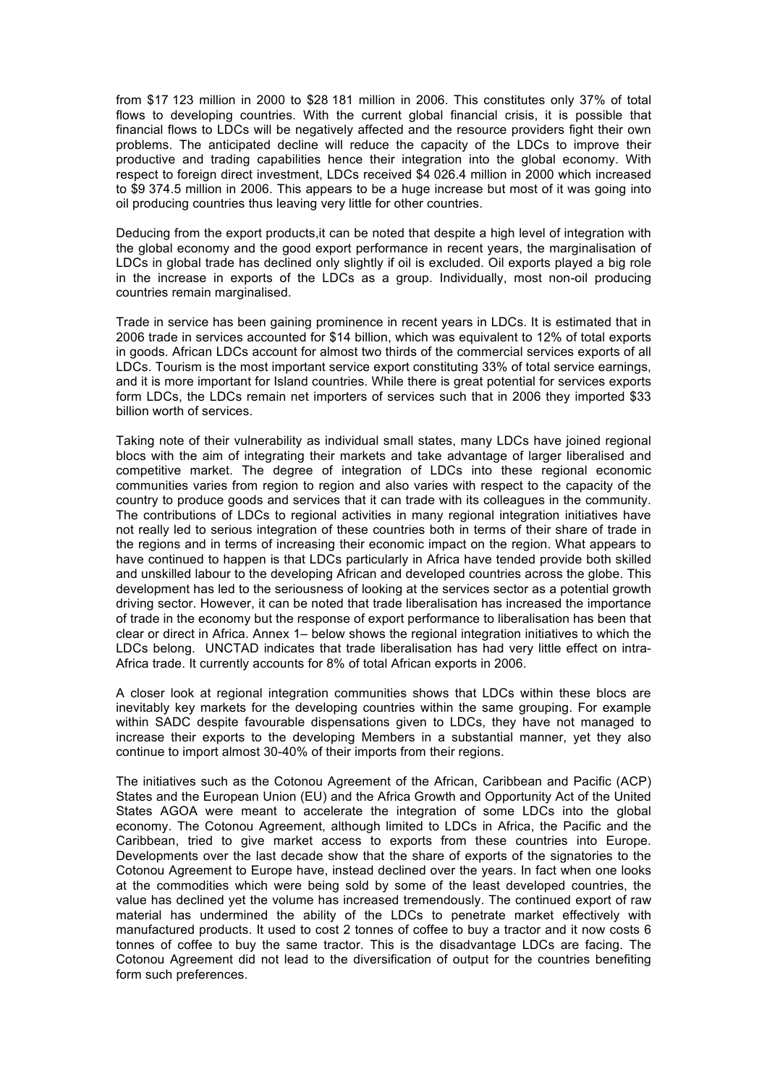from \$17 123 million in 2000 to \$28 181 million in 2006. This constitutes only 37% of total flows to developing countries. With the current global financial crisis, it is possible that financial flows to LDCs will be negatively affected and the resource providers fight their own problems. The anticipated decline will reduce the capacity of the LDCs to improve their productive and trading capabilities hence their integration into the global economy. With respect to foreign direct investment, LDCs received \$4 026.4 million in 2000 which increased to \$9 374.5 million in 2006. This appears to be a huge increase but most of it was going into oil producing countries thus leaving very little for other countries.

Deducing from the export products,it can be noted that despite a high level of integration with the global economy and the good export performance in recent years, the marginalisation of LDCs in global trade has declined only slightly if oil is excluded. Oil exports played a big role in the increase in exports of the LDCs as a group. Individually, most non-oil producing countries remain marginalised.

Trade in service has been gaining prominence in recent years in LDCs. It is estimated that in 2006 trade in services accounted for \$14 billion, which was equivalent to 12% of total exports in goods. African LDCs account for almost two thirds of the commercial services exports of all LDCs. Tourism is the most important service export constituting 33% of total service earnings, and it is more important for Island countries. While there is great potential for services exports form LDCs, the LDCs remain net importers of services such that in 2006 they imported \$33 billion worth of services.

Taking note of their vulnerability as individual small states, many LDCs have joined regional blocs with the aim of integrating their markets and take advantage of larger liberalised and competitive market. The degree of integration of LDCs into these regional economic communities varies from region to region and also varies with respect to the capacity of the country to produce goods and services that it can trade with its colleagues in the community. The contributions of LDCs to regional activities in many regional integration initiatives have not really led to serious integration of these countries both in terms of their share of trade in the regions and in terms of increasing their economic impact on the region. What appears to have continued to happen is that LDCs particularly in Africa have tended provide both skilled and unskilled labour to the developing African and developed countries across the globe. This development has led to the seriousness of looking at the services sector as a potential growth driving sector. However, it can be noted that trade liberalisation has increased the importance of trade in the economy but the response of export performance to liberalisation has been that clear or direct in Africa. Annex 1– below shows the regional integration initiatives to which the LDCs belong. UNCTAD indicates that trade liberalisation has had very little effect on intra-Africa trade. It currently accounts for 8% of total African exports in 2006.

A closer look at regional integration communities shows that LDCs within these blocs are inevitably key markets for the developing countries within the same grouping. For example within SADC despite favourable dispensations given to LDCs, they have not managed to increase their exports to the developing Members in a substantial manner, yet they also continue to import almost 30-40% of their imports from their regions.

The initiatives such as the Cotonou Agreement of the African, Caribbean and Pacific (ACP) States and the European Union (EU) and the Africa Growth and Opportunity Act of the United States AGOA were meant to accelerate the integration of some LDCs into the global economy. The Cotonou Agreement, although limited to LDCs in Africa, the Pacific and the Caribbean, tried to give market access to exports from these countries into Europe. Developments over the last decade show that the share of exports of the signatories to the Cotonou Agreement to Europe have, instead declined over the years. In fact when one looks at the commodities which were being sold by some of the least developed countries, the value has declined yet the volume has increased tremendously. The continued export of raw material has undermined the ability of the LDCs to penetrate market effectively with manufactured products. It used to cost 2 tonnes of coffee to buy a tractor and it now costs 6 tonnes of coffee to buy the same tractor. This is the disadvantage LDCs are facing. The Cotonou Agreement did not lead to the diversification of output for the countries benefiting form such preferences.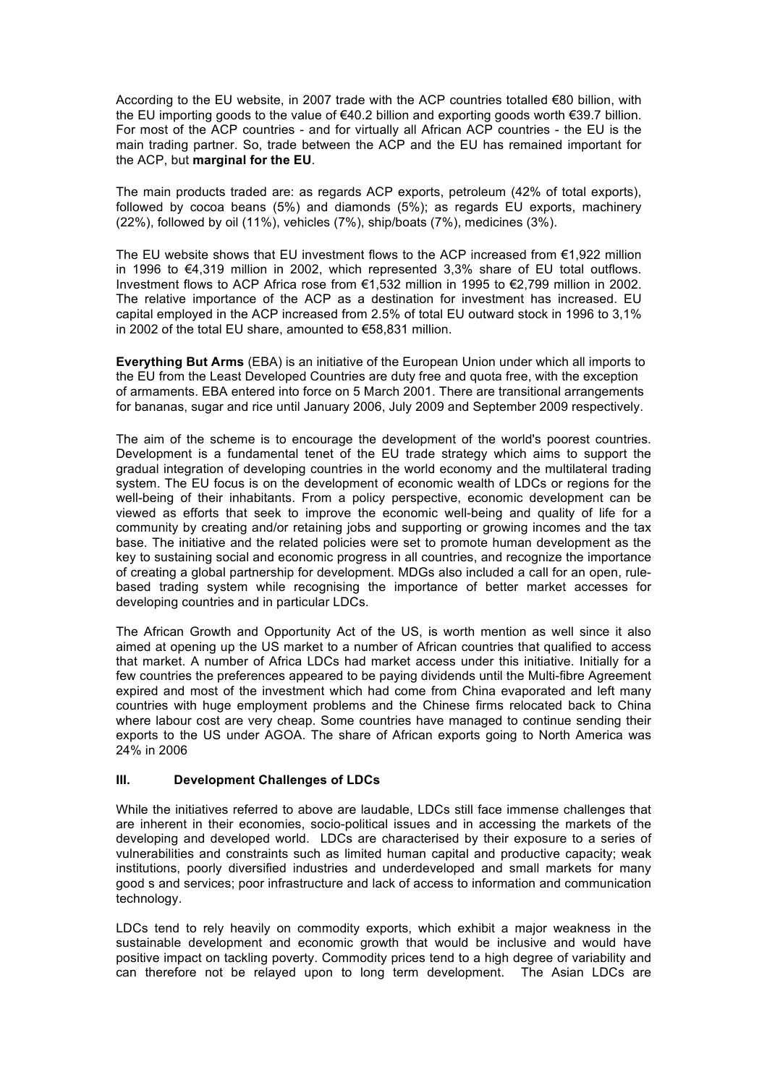According to the EU website, in 2007 trade with the ACP countries totalled €80 billion, with the EU importing goods to the value of €40.2 billion and exporting goods worth €39.7 billion. For most of the ACP countries - and for virtually all African ACP countries - the EU is the main trading partner. So, trade between the ACP and the EU has remained important for the ACP, but **marginal for the EU**.

The main products traded are: as regards ACP exports, petroleum (42% of total exports), followed by cocoa beans (5%) and diamonds (5%); as regards EU exports, machinery (22%), followed by oil (11%), vehicles (7%), ship/boats (7%), medicines (3%).

The EU website shows that EU investment flows to the ACP increased from  $\epsilon$ 1,922 million in 1996 to €4,319 million in 2002, which represented 3,3% share of EU total outflows. Investment flows to ACP Africa rose from €1,532 million in 1995 to €2,799 million in 2002. The relative importance of the ACP as a destination for investment has increased. EU capital employed in the ACP increased from 2.5% of total EU outward stock in 1996 to 3,1% in 2002 of the total EU share, amounted to €58,831 million.

**Everything But Arms** (EBA) is an initiative of the European Union under which all imports to the EU from the Least Developed Countries are duty free and quota free, with the exception of armaments. EBA entered into force on 5 March 2001. There are transitional arrangements for bananas, sugar and rice until January 2006, July 2009 and September 2009 respectively.

The aim of the scheme is to encourage the development of the world's poorest countries. Development is a fundamental tenet of the EU trade strategy which aims to support the gradual integration of developing countries in the world economy and the multilateral trading system. The EU focus is on the development of economic wealth of LDCs or regions for the well-being of their inhabitants. From a policy perspective, economic development can be viewed as efforts that seek to improve the economic well-being and quality of life for a community by creating and/or retaining jobs and supporting or growing incomes and the tax base. The initiative and the related policies were set to promote human development as the key to sustaining social and economic progress in all countries, and recognize the importance of creating a global partnership for development. MDGs also included a call for an open, rulebased trading system while recognising the importance of better market accesses for developing countries and in particular LDCs.

The African Growth and Opportunity Act of the US, is worth mention as well since it also aimed at opening up the US market to a number of African countries that qualified to access that market. A number of Africa LDCs had market access under this initiative. Initially for a few countries the preferences appeared to be paying dividends until the Multi-fibre Agreement expired and most of the investment which had come from China evaporated and left many countries with huge employment problems and the Chinese firms relocated back to China where labour cost are very cheap. Some countries have managed to continue sending their exports to the US under AGOA. The share of African exports going to North America was 24% in 2006

#### **III. Development Challenges of LDCs**

While the initiatives referred to above are laudable, LDCs still face immense challenges that are inherent in their economies, socio-political issues and in accessing the markets of the developing and developed world. LDCs are characterised by their exposure to a series of vulnerabilities and constraints such as limited human capital and productive capacity; weak institutions, poorly diversified industries and underdeveloped and small markets for many good s and services; poor infrastructure and lack of access to information and communication technology.

LDCs tend to rely heavily on commodity exports, which exhibit a major weakness in the sustainable development and economic growth that would be inclusive and would have positive impact on tackling poverty. Commodity prices tend to a high degree of variability and can therefore not be relayed upon to long term development. The Asian LDCs are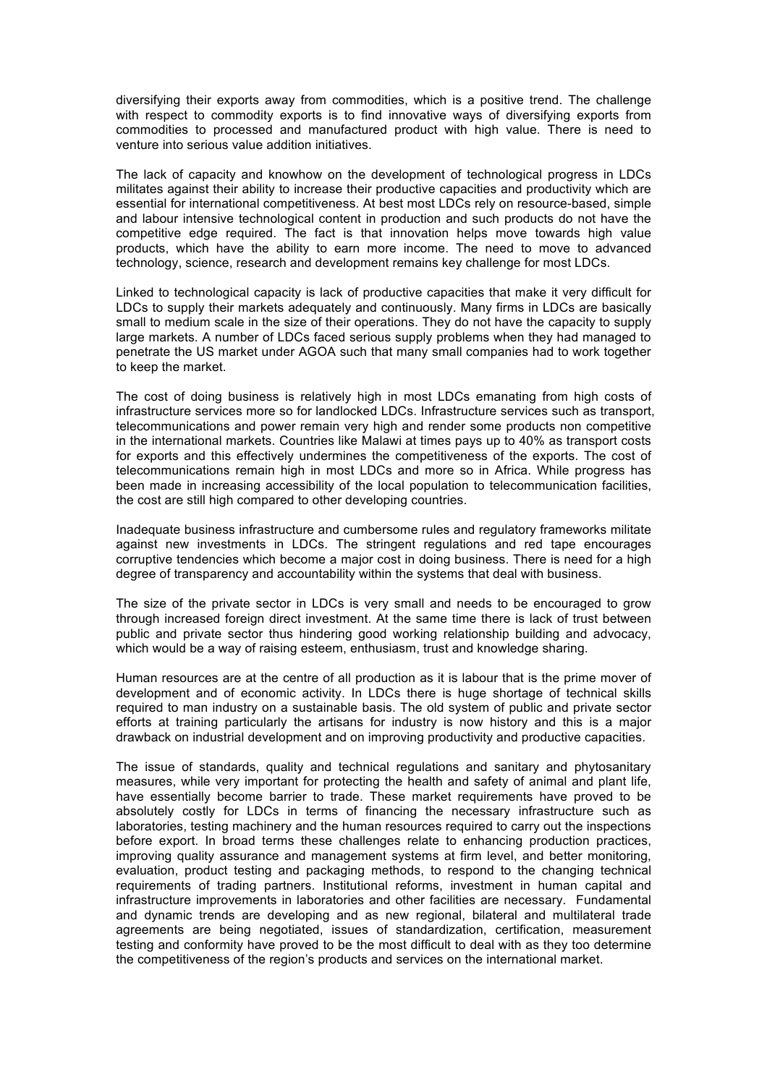diversifying their exports away from commodities, which is a positive trend. The challenge with respect to commodity exports is to find innovative ways of diversifying exports from commodities to processed and manufactured product with high value. There is need to venture into serious value addition initiatives.

The lack of capacity and knowhow on the development of technological progress in LDCs militates against their ability to increase their productive capacities and productivity which are essential for international competitiveness. At best most LDCs rely on resource-based, simple and labour intensive technological content in production and such products do not have the competitive edge required. The fact is that innovation helps move towards high value products, which have the ability to earn more income. The need to move to advanced technology, science, research and development remains key challenge for most LDCs.

Linked to technological capacity is lack of productive capacities that make it very difficult for LDCs to supply their markets adequately and continuously. Many firms in LDCs are basically small to medium scale in the size of their operations. They do not have the capacity to supply large markets. A number of LDCs faced serious supply problems when they had managed to penetrate the US market under AGOA such that many small companies had to work together to keep the market.

The cost of doing business is relatively high in most LDCs emanating from high costs of infrastructure services more so for landlocked LDCs. Infrastructure services such as transport, telecommunications and power remain very high and render some products non competitive in the international markets. Countries like Malawi at times pays up to 40% as transport costs for exports and this effectively undermines the competitiveness of the exports. The cost of telecommunications remain high in most LDCs and more so in Africa. While progress has been made in increasing accessibility of the local population to telecommunication facilities, the cost are still high compared to other developing countries.

Inadequate business infrastructure and cumbersome rules and regulatory frameworks militate against new investments in LDCs. The stringent regulations and red tape encourages corruptive tendencies which become a major cost in doing business. There is need for a high degree of transparency and accountability within the systems that deal with business.

The size of the private sector in LDCs is very small and needs to be encouraged to grow through increased foreign direct investment. At the same time there is lack of trust between public and private sector thus hindering good working relationship building and advocacy, which would be a way of raising esteem, enthusiasm, trust and knowledge sharing.

Human resources are at the centre of all production as it is labour that is the prime mover of development and of economic activity. In LDCs there is huge shortage of technical skills required to man industry on a sustainable basis. The old system of public and private sector efforts at training particularly the artisans for industry is now history and this is a major drawback on industrial development and on improving productivity and productive capacities.

The issue of standards, quality and technical regulations and sanitary and phytosanitary measures, while very important for protecting the health and safety of animal and plant life, have essentially become barrier to trade. These market requirements have proved to be absolutely costly for LDCs in terms of financing the necessary infrastructure such as laboratories, testing machinery and the human resources required to carry out the inspections before export. In broad terms these challenges relate to enhancing production practices, improving quality assurance and management systems at firm level, and better monitoring, evaluation, product testing and packaging methods, to respond to the changing technical requirements of trading partners. Institutional reforms, investment in human capital and infrastructure improvements in laboratories and other facilities are necessary. Fundamental and dynamic trends are developing and as new regional, bilateral and multilateral trade agreements are being negotiated, issues of standardization, certification, measurement testing and conformity have proved to be the most difficult to deal with as they too determine the competitiveness of the region's products and services on the international market.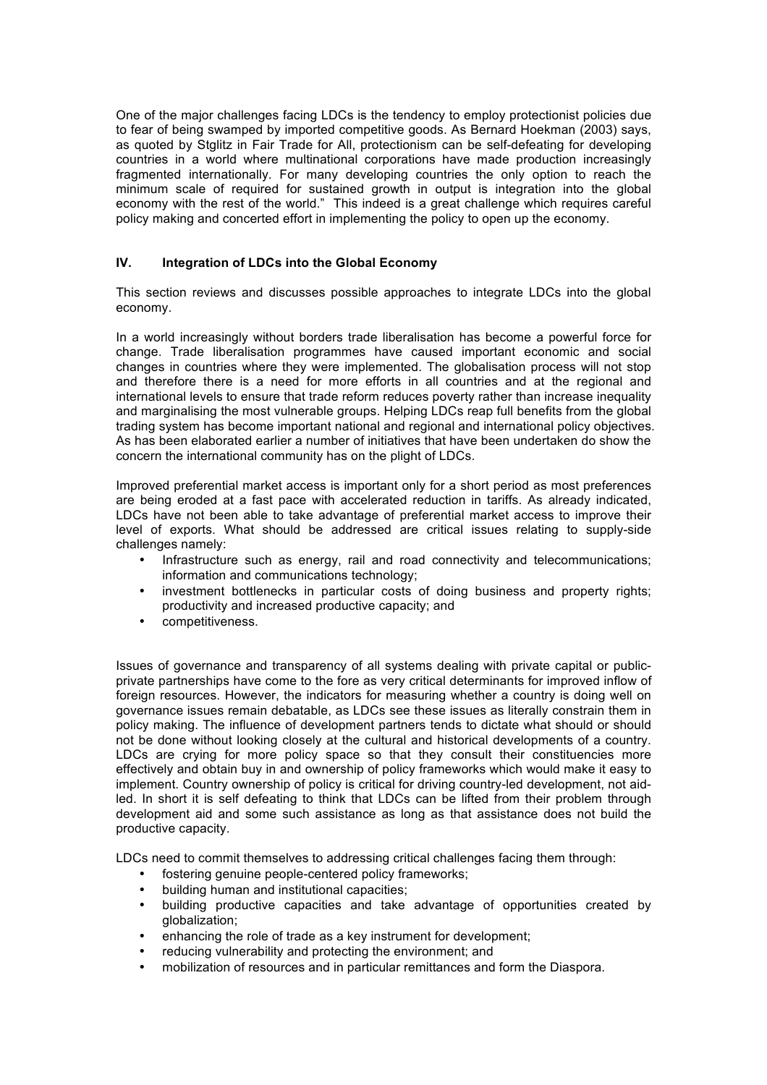One of the major challenges facing LDCs is the tendency to employ protectionist policies due to fear of being swamped by imported competitive goods. As Bernard Hoekman (2003) says, as quoted by Stglitz in Fair Trade for All, protectionism can be self-defeating for developing countries in a world where multinational corporations have made production increasingly fragmented internationally. For many developing countries the only option to reach the minimum scale of required for sustained growth in output is integration into the global economy with the rest of the world." This indeed is a great challenge which requires careful policy making and concerted effort in implementing the policy to open up the economy.

## **IV. Integration of LDCs into the Global Economy**

This section reviews and discusses possible approaches to integrate LDCs into the global economy.

In a world increasingly without borders trade liberalisation has become a powerful force for change. Trade liberalisation programmes have caused important economic and social changes in countries where they were implemented. The globalisation process will not stop and therefore there is a need for more efforts in all countries and at the regional and international levels to ensure that trade reform reduces poverty rather than increase inequality and marginalising the most vulnerable groups. Helping LDCs reap full benefits from the global trading system has become important national and regional and international policy objectives. As has been elaborated earlier a number of initiatives that have been undertaken do show the concern the international community has on the plight of LDCs.

Improved preferential market access is important only for a short period as most preferences are being eroded at a fast pace with accelerated reduction in tariffs. As already indicated, LDCs have not been able to take advantage of preferential market access to improve their level of exports. What should be addressed are critical issues relating to supply-side challenges namely:

- Infrastructure such as energy, rail and road connectivity and telecommunications; information and communications technology;
- investment bottlenecks in particular costs of doing business and property rights; productivity and increased productive capacity; and
- competitiveness.

Issues of governance and transparency of all systems dealing with private capital or publicprivate partnerships have come to the fore as very critical determinants for improved inflow of foreign resources. However, the indicators for measuring whether a country is doing well on governance issues remain debatable, as LDCs see these issues as literally constrain them in policy making. The influence of development partners tends to dictate what should or should not be done without looking closely at the cultural and historical developments of a country. LDCs are crying for more policy space so that they consult their constituencies more effectively and obtain buy in and ownership of policy frameworks which would make it easy to implement. Country ownership of policy is critical for driving country-led development, not aidled. In short it is self defeating to think that LDCs can be lifted from their problem through development aid and some such assistance as long as that assistance does not build the productive capacity.

LDCs need to commit themselves to addressing critical challenges facing them through:

- fostering genuine people-centered policy frameworks;
- building human and institutional capacities;
- building productive capacities and take advantage of opportunities created by globalization;
- enhancing the role of trade as a key instrument for development;
- reducing vulnerability and protecting the environment; and
- mobilization of resources and in particular remittances and form the Diaspora.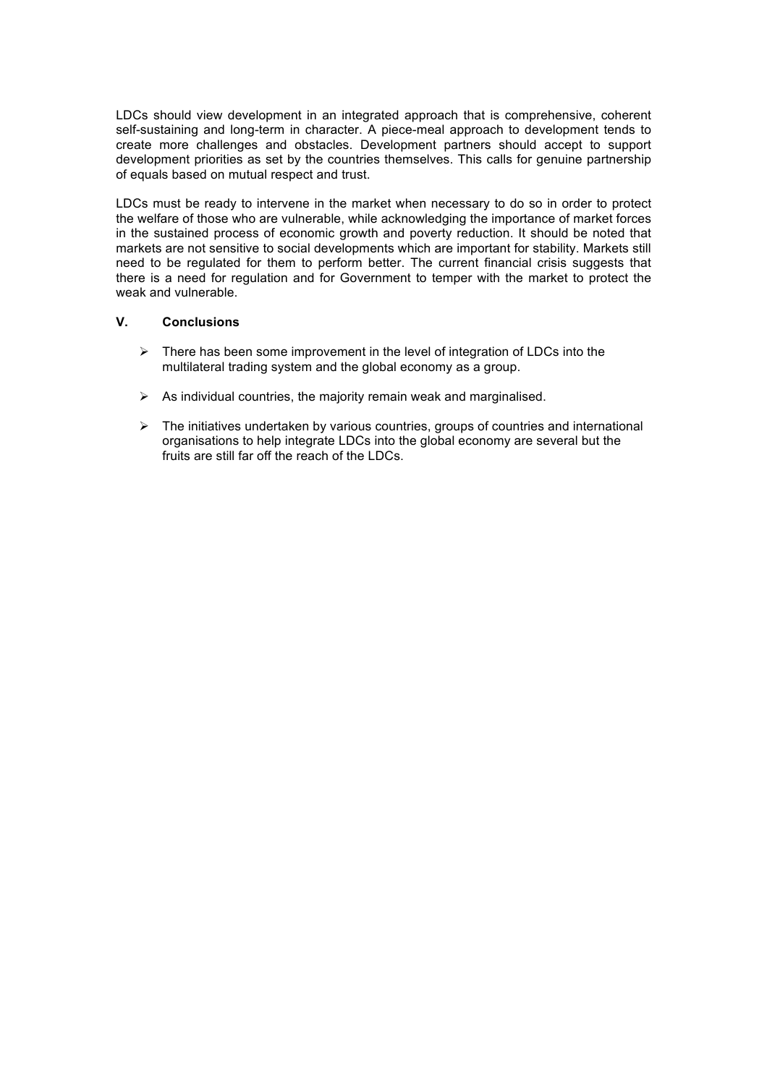LDCs should view development in an integrated approach that is comprehensive, coherent self-sustaining and long-term in character. A piece-meal approach to development tends to create more challenges and obstacles. Development partners should accept to support development priorities as set by the countries themselves. This calls for genuine partnership of equals based on mutual respect and trust.

LDCs must be ready to intervene in the market when necessary to do so in order to protect the welfare of those who are vulnerable, while acknowledging the importance of market forces in the sustained process of economic growth and poverty reduction. It should be noted that markets are not sensitive to social developments which are important for stability. Markets still need to be regulated for them to perform better. The current financial crisis suggests that there is a need for regulation and for Government to temper with the market to protect the weak and vulnerable.

#### **V. Conclusions**

- $\triangleright$  There has been some improvement in the level of integration of LDCs into the multilateral trading system and the global economy as a group.
- $\triangleright$  As individual countries, the majority remain weak and marginalised.
- $\triangleright$  The initiatives undertaken by various countries, groups of countries and international organisations to help integrate LDCs into the global economy are several but the fruits are still far off the reach of the LDCs.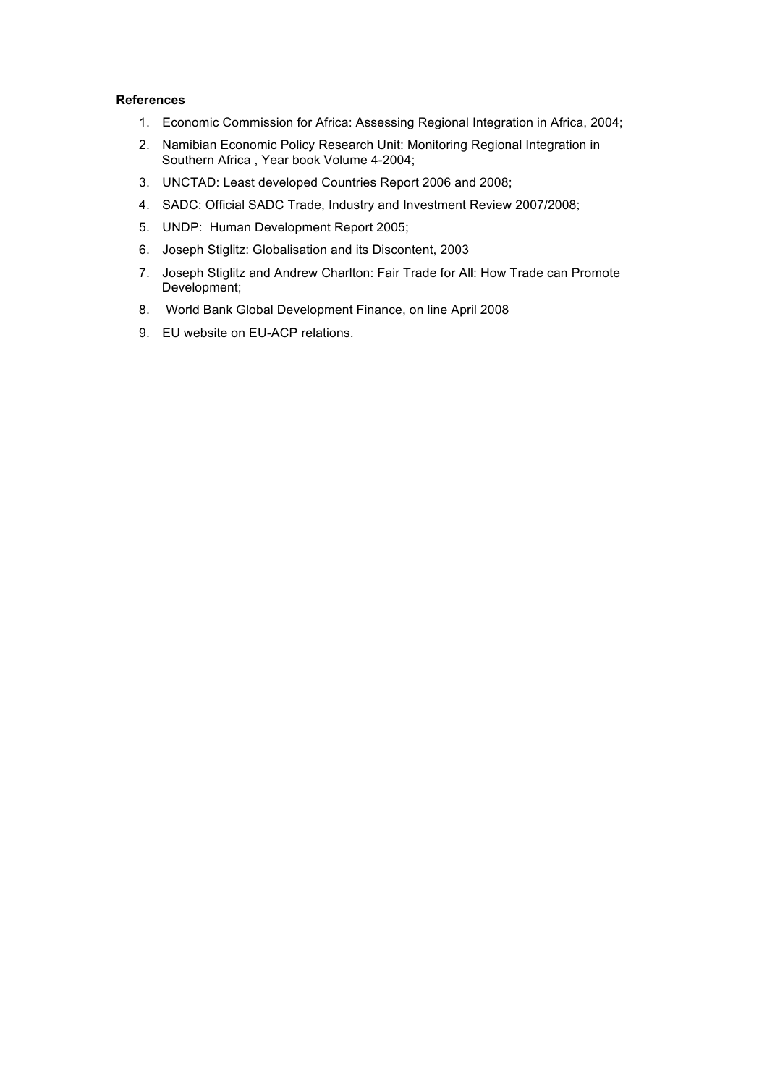### **References**

- 1. Economic Commission for Africa: Assessing Regional Integration in Africa, 2004;
- 2. Namibian Economic Policy Research Unit: Monitoring Regional Integration in Southern Africa , Year book Volume 4-2004;
- 3. UNCTAD: Least developed Countries Report 2006 and 2008;
- 4. SADC: Official SADC Trade, Industry and Investment Review 2007/2008;
- 5. UNDP: Human Development Report 2005;
- 6. Joseph Stiglitz: Globalisation and its Discontent, 2003
- 7. Joseph Stiglitz and Andrew Charlton: Fair Trade for All: How Trade can Promote Development;
- 8. World Bank Global Development Finance, on line April 2008
- 9. EU website on EU-ACP relations.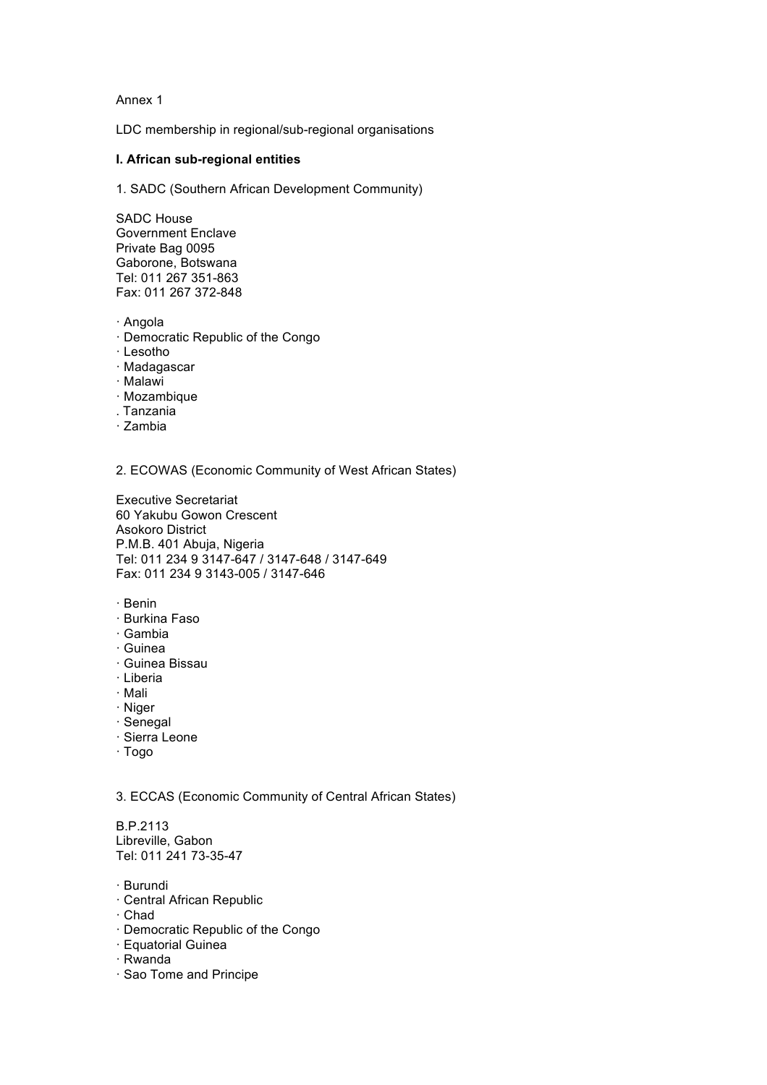Annex 1

LDC membership in regional/sub-regional organisations

#### **I. African sub-regional entities**

1. SADC (Southern African Development Community)

SADC House Government Enclave Private Bag 0095 Gaborone, Botswana Tel: 011 267 351-863 Fax: 011 267 372-848

- · Angola
- · Democratic Republic of the Congo
- · Lesotho
- · Madagascar
- · Malawi
- · Mozambique
- . Tanzania
- · Zambia

2. ECOWAS (Economic Community of West African States)

Executive Secretariat 60 Yakubu Gowon Crescent Asokoro District P.M.B. 401 Abuja, Nigeria Tel: 011 234 9 3147-647 / 3147-648 / 3147-649 Fax: 011 234 9 3143-005 / 3147-646

- · Benin
- · Burkina Faso
- · Gambia
- · Guinea
- · Guinea Bissau
- · Liberia
- · Mali
- · Niger
- · Senegal
- · Sierra Leone
- · Togo

3. ECCAS (Economic Community of Central African States)

B.P.2113 Libreville, Gabon Tel: 011 241 73-35-47

- · Burundi
- · Central African Republic
- · Chad
- · Democratic Republic of the Congo
- · Equatorial Guinea
- · Rwanda
- · Sao Tome and Principe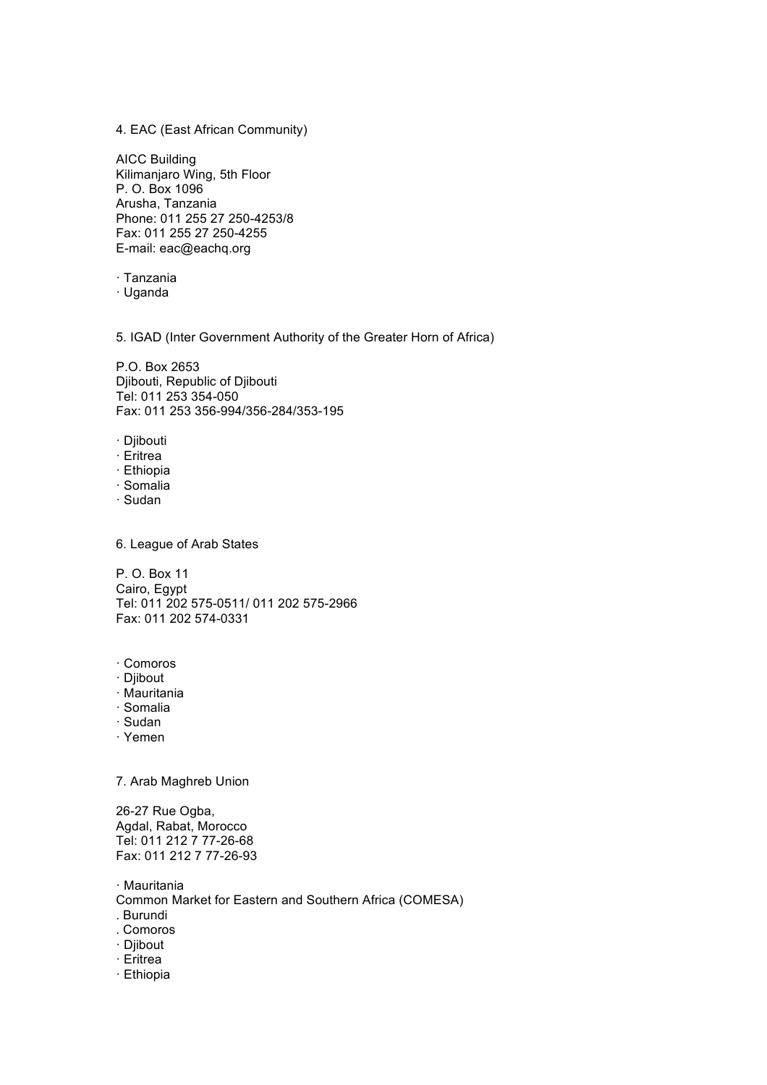4. EAC (East African Community)

AICC Building Kilimanjaro Wing, 5th Floor P. O. Box 1096 Arusha, Tanzania Phone: 011 255 27 250-4253/8 Fax: 011 255 27 250-4255 E-mail: eac@eachq.org

· Tanzania

· Uganda

5. IGAD (Inter Government Authority of the Greater Horn of Africa)

P.O. Box 2653 Djibouti, Republic of Djibouti Tel: 011 253 354-050 Fax: 011 253 356-994/356-284/353-195

· Djibouti

· Eritrea

· Ethiopia

· Somalia

· Sudan

6. League of Arab States

P. O. Box 11 Cairo, Egypt Tel: 011 202 575-0511/ 011 202 575-2966 Fax: 011 202 574-0331

- · Comoros
- · Djibout
- · Mauritania
- · Somalia
- · Sudan
- · Yemen

7. Arab Maghreb Union

26-27 Rue Ogba, Agdal, Rabat, Morocco Tel: 011 212 7 77-26-68 Fax: 011 212 7 77-26-93

· Mauritania Common Market for Eastern and Southern Africa (COMESA)

- 
- . Burundi
- . Comoros
- · Djibout
- · Eritrea
- · Ethiopia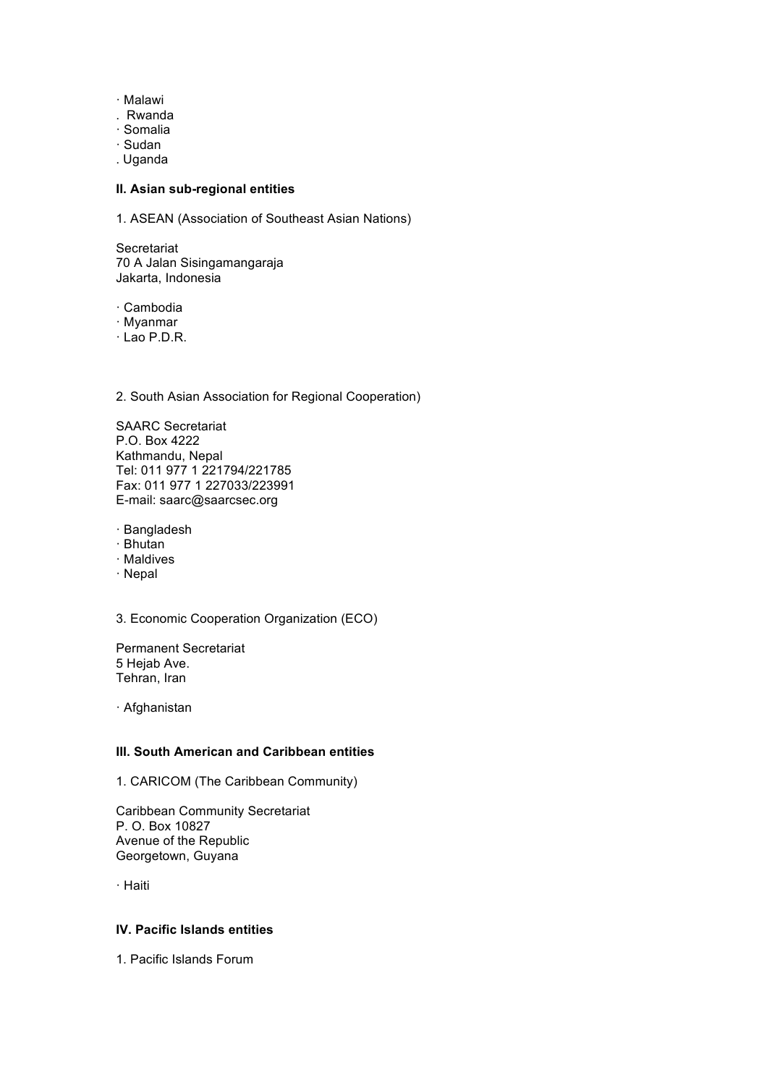- · Malawi
- . Rwanda
- · Somalia
- · Sudan
- . Uganda

#### **II. Asian sub-regional entities**

1. ASEAN (Association of Southeast Asian Nations)

**Secretariat** 70 A Jalan Sisingamangaraja Jakarta, Indonesia

· Cambodia

· Myanmar

· Lao P.D.R.

2. South Asian Association for Regional Cooperation)

SAARC Secretariat P.O. Box 4222 Kathmandu, Nepal Tel: 011 977 1 221794/221785 Fax: 011 977 1 227033/223991 E-mail: saarc@saarcsec.org

· Bangladesh

- · Bhutan
- · Maldives
- · Nepal

3. Economic Cooperation Organization (ECO)

Permanent Secretariat 5 Hejab Ave. Tehran, Iran

· Afghanistan

## **III. South American and Caribbean entities**

1. CARICOM (The Caribbean Community)

Caribbean Community Secretariat P. O. Box 10827 Avenue of the Republic Georgetown, Guyana

· Haiti

## **IV. Pacific Islands entities**

1. Pacific Islands Forum